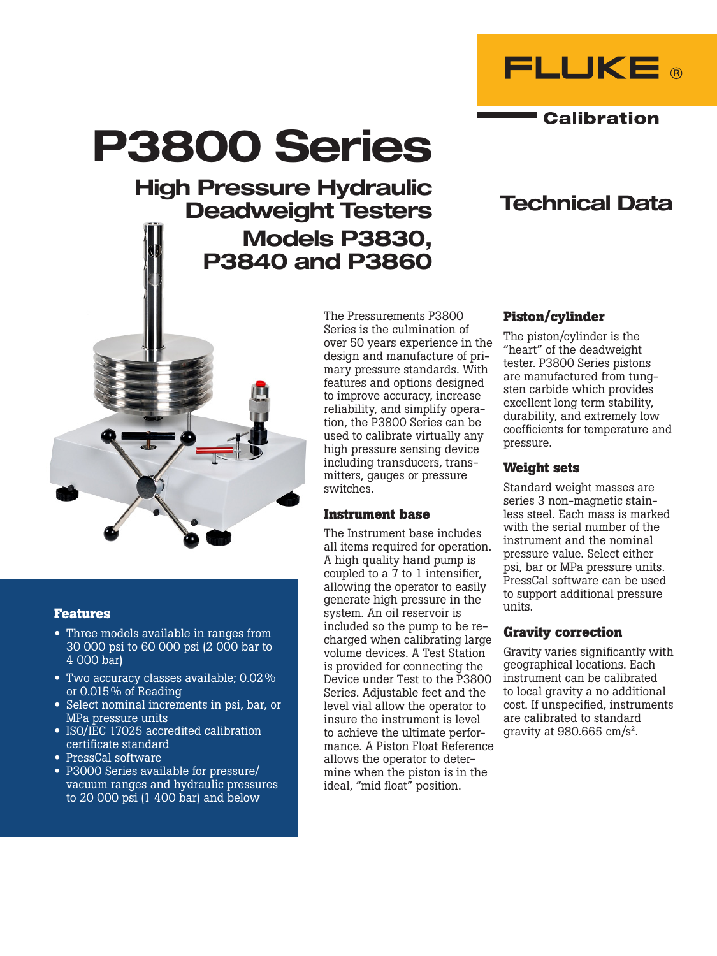

Technical Data

**Calibration** 

# P3800 Series

## High Pressure Hydraulic Deadweight Testers Models P3830, P3840 and P3860



#### **Features**

- Three models available in ranges from 30 000 psi to 60 000 psi (2 000 bar to 4 000 bar)
- Two accuracy classes available; 0.02% or 0.015% of Reading
- Select nominal increments in psi, bar, or MPa pressure units
- ISO/IEC 17025 accredited calibration certificate standard
- PressCal software
- P3000 Series available for pressure/ vacuum ranges and hydraulic pressures to 20 000 psi (1 400 bar) and below

The Pressurements P3800 Series is the culmination of over 50 years experience in the design and manufacture of primary pressure standards. With features and options designed to improve accuracy, increase reliability, and simplify operation, the P3800 Series can be used to calibrate virtually any high pressure sensing device including transducers, transmitters, gauges or pressure switches.

#### **Instrument base**

The Instrument base includes all items required for operation. A high quality hand pump is coupled to a 7 to 1 intensifier, allowing the operator to easily generate high pressure in the system. An oil reservoir is included so the pump to be recharged when calibrating large volume devices. A Test Station is provided for connecting the Device under Test to the P3800 Series. Adjustable feet and the level vial allow the operator to insure the instrument is level to achieve the ultimate performance. A Piston Float Reference allows the operator to determine when the piston is in the ideal, "mid float" position.

#### **Piston/cylinder**

The piston/cylinder is the "heart" of the deadweight tester. P3800 Series pistons are manufactured from tungsten carbide which provides excellent long term stability, durability, and extremely low coefficients for temperature and pressure.

#### **Weight sets**

Standard weight masses are series 3 non-magnetic stainless steel. Each mass is marked with the serial number of the instrument and the nominal pressure value. Select either psi, bar or MPa pressure units. PressCal software can be used to support additional pressure units.

#### **Gravity correction**

Gravity varies significantly with geographical locations. Each instrument can be calibrated to local gravity a no additional cost. If unspecified, instruments are calibrated to standard gravity at 980.665 cm/s2.